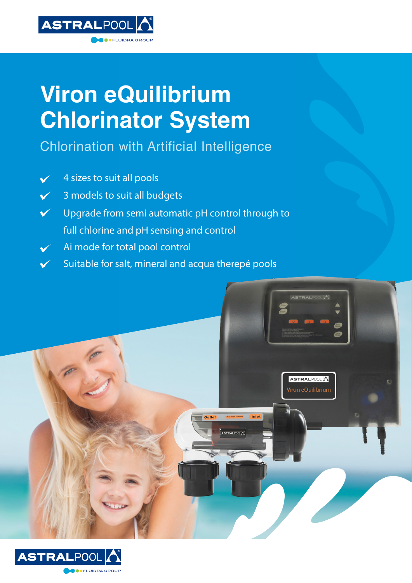

ELLIIDRA GROUE

Chlorination with Artificial Intelligence

4 sizes to suit all pools  $\checkmark$ 

**ASTRALPOOL** 

- 3 models to suit all budgets  $\checkmark$
- Upgrade from semi automatic pH control through to  $\checkmark$ full chlorine and pH sensing and control
- Ai mode for total pool control  $\checkmark$
- Suitable for salt, mineral and acqua therepé pools $\checkmark$



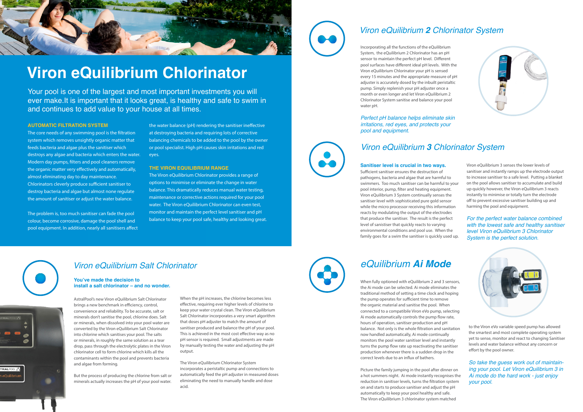#### **AUTOMATIC FILTRATION SYSTEM**

The core needs of any swimming pool is the filtration system which removes unsightly organic matter that feeds bacteria and algae plus the sanitiser which destroys any algae and bacteria which enters the water. Modern day pumps, filters and pool cleaners remove the organic matter very effectively and automatically, almost eliminating day to day maintenance. Chlorinators cleverly produce sufficient sanitiser to destroy bacteria and algae but almost none regulate the amount of sanitiser or adjust the water balance.

The problem is, too much sanitiser can fade the pool colour, become corrosive, damage the pool shell and pool equipment. In addition, nearly all sanitisers affect

the water balance (pH) rendering the sanitiser ineffective at destroying bacteria and requiring lots of corrective balancing chemicals to be added to the pool by the owner or pool specialist. High pH causes skin irritations and red eyes.

#### **The Viron eQuilibrium Range**

The Viron eQuilibrium Chlorinator provides a range of options to minimise or eliminate the change in water balance. This dramatically reduces manual water testing, maintenance or corrective actions required for your pool water. The Viron eQuilibrium Chlorinator can even test, monitor and maintain the perfect level sanitiser and pH balance to keep your pool safe, healthy and looking great.





# **Viron eQuilibrium Chlorinator**

Your pool is one of the largest and most important investments you will ever make.It is important that it looks great, is healthy and safe to swim in and continues to add value to your house at all times.

### *Viron eQuilibrium Salt Chlorinator*

### **You've made the decision to install a salt chlorinator – and no wonder.**

AstralPool's new Viron eQuilibrium Salt Chlorinator brings a new benchmark in efficiency, control, convenience and reliability. To be accurate, salt or minerals don't sanitise the pool, chlorine does. Salt or minerals, when dissolved into your pool water are converted by the Viron eQuilibrium Salt Chlorinator into chlorine which sanitises your pool. The salts or minerals, in roughly the same solution as a tear drop, pass through the electrolytic plates in the Viron chlorinator cell to form chlorine which kills all the contaminants within the pool and prevents bacteria and algae from forming.

But the process of producing the chlorine from salt or minerals actually increases the pH of your pool water.

When the pH increases, the chlorine becomes less effective, requiring ever higher levels of chlorine to keep your water crystal clean. The Viron eQuilibrium Salt Chlorinator incorporates a very smart algorithm that doses pH adjuster to match the amount of sanitiser produced and balance the pH of your pool. This is achieved in the most cost effective way as no pH sensor is required. Small adjustments are made by manually testing the water and adjusting the pH output.

When fully optioned with eQuilibrium 2 and 3 sensors, the Ai mode can be selected. Ai mode eliminates the traditional method of setting a time clock and hoping the pump operates for sufficient time to remove the organic material and sanitise the pool. When connected to a compatibile Viron eVo pump, selecting Ai mode automatically controls the pump flow rate, hours of operation, sanitiser production and pH balance. Not only is the whole filtration and sanitation now handled automatically, Ai mode continually monitors the pool water sanitiser level and instantly turns the pump flow rate up reactivating the sanitiser production whenever there is a sudden drop in the correct levels due to an influx of bathers.

The Viron eQuilibrium Chlorinator System incorporates a peristaltic pump and connections to automatically feed the pH adjuster in measured doses eliminating the need to manually handle and dose acid.



### *Viron eQuilibrium 2 Chlorinator System*

Incorporating all the functions of the eQuilibrium System, the eQuilibrium 2 Chlorinator has an pH sensor to maintain the perfect pH level. Different pool surfaces have different ideal pH levels. With the Viron eQuilibrium Chlorinator your pH is sensed every 15 minutes and the appropriate measure of pH adjuster is accurately dosed by the inbuilt peristaltic pump. Simply replenish your pH adjuster once a month or even longer and let Viron eQuilibrium 2 Chlorinator System sanitise and balance your pool water pH.

### *Perfect pH balance helps eliminate skin irritations, red eyes, and protects your pool and equipment.*

### *Viron eQuilibrium 3 Chlorinator System*

#### **Sanitiser level is crucial in two ways.**

Sufficient sanitiser ensures the destruction of pathogens, bacteria and algae that are harmful to swimmers. Too much sanitiser can be harmful to your pool interior, pump, filter and heating equipment. Viron eQuilibrium 3 System continually senses the sanitiser level with sophisticated pure gold sensor while the micro processor receiving this information reacts by modulating the output of the electrodes that produce the sanitiser. The result is the perfect level of sanistiser that quickly reacts to varying environmental conditions and pool use. When the family goes for a swim the sanitiser is quickly used up.





Viron eQuilibrium 3 senses the lower levels of sanitiser and instantly ramps up the electrode output to increase sanitiser to a safe level. Putting a blanket on the pool allows sanitiser to accumulate and build up quickly however, the Viron eQuilibrium 3 reacts instantly to minimise or totally turn the electrode off to prevent excessive sanitiser building up and harming the pool and equipment.

*For the perfect water balance combined with the lowest safe and healthy sanitiser level Viron eQuilibrium 3 Chlorinator System is the perfect solution.*





## *eQuilibrium Ai Mode*

Picture the family jumping in the pool after dinner on a hot summers night. Ai mode instantly recognises the reduction in sanitiser levels, turns the filtration system on and starts to produce sanitiser and adjust the pH automatically to keep your pool healthy and safe. The Viron eQuilibrium 3 chlorinator system matched



to the Viron eVo variable speed pump has allowed the smartest and most complete operating system yet to sense, monitor and react to changing Sanitiser levels and water balance without any concern or effort by the pool owner.

*So take the guess work out of maintaining your pool. Let Viron eQuilibrium 3 in Ai mode do the hard work - just enjoy your pool.*